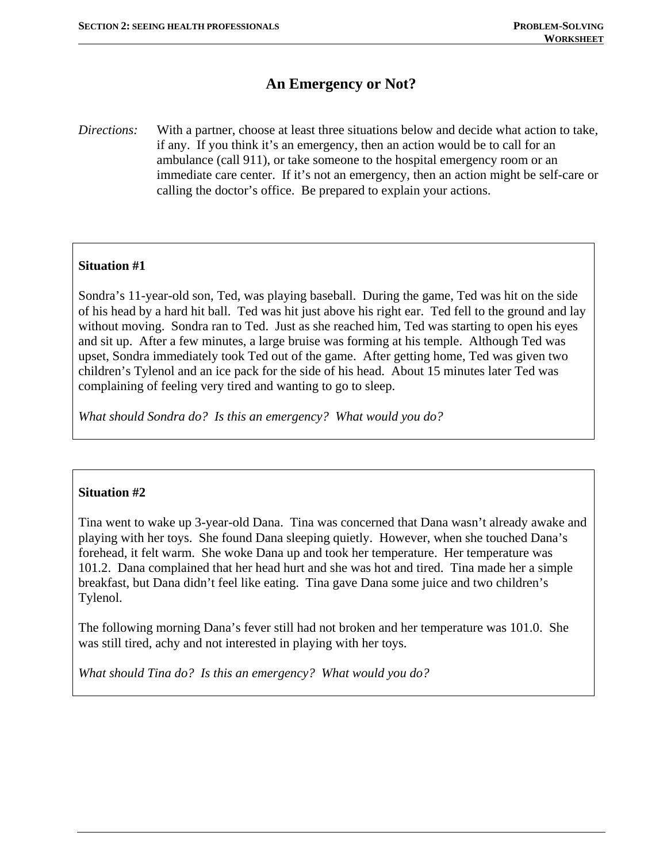# **An Emergency or Not?**

*Directions:* With a partner, choose at least three situations below and decide what action to take, if any. If you think it's an emergency, then an action would be to call for an ambulance (call 911), or take someone to the hospital emergency room or an immediate care center. If it's not an emergency, then an action might be self-care or calling the doctor's office. Be prepared to explain your actions.

# **Situation #1**

Sondra's 11-year-old son, Ted, was playing baseball. During the game, Ted was hit on the side of his head by a hard hit ball. Ted was hit just above his right ear. Ted fell to the ground and lay without moving. Sondra ran to Ted. Just as she reached him, Ted was starting to open his eyes and sit up. After a few minutes, a large bruise was forming at his temple. Although Ted was upset, Sondra immediately took Ted out of the game. After getting home, Ted was given two children's Tylenol and an ice pack for the side of his head. About 15 minutes later Ted was complaining of feeling very tired and wanting to go to sleep.

*What should Sondra do? Is this an emergency? What would you do?* 

### **Situation #2**

Tina went to wake up 3-year-old Dana. Tina was concerned that Dana wasn't already awake and playing with her toys. She found Dana sleeping quietly. However, when she touched Dana's forehead, it felt warm. She woke Dana up and took her temperature. Her temperature was 101.2. Dana complained that her head hurt and she was hot and tired. Tina made her a simple breakfast, but Dana didn't feel like eating. Tina gave Dana some juice and two children's Tylenol.

The following morning Dana's fever still had not broken and her temperature was 101.0. She was still tired, achy and not interested in playing with her toys.

*What should Tina do? Is this an emergency? What would you do?*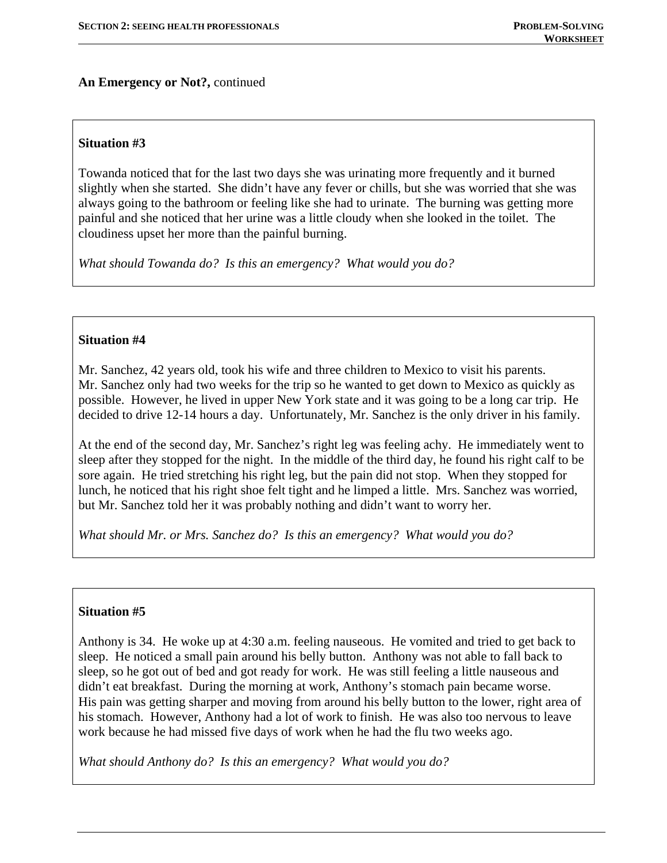# **An Emergency or Not?,** continued

## **Situation #3**

Towanda noticed that for the last two days she was urinating more frequently and it burned slightly when she started. She didn't have any fever or chills, but she was worried that she was always going to the bathroom or feeling like she had to urinate. The burning was getting more painful and she noticed that her urine was a little cloudy when she looked in the toilet. The cloudiness upset her more than the painful burning.

*What should Towanda do? Is this an emergency? What would you do?* 

### **Situation #4**

Mr. Sanchez, 42 years old, took his wife and three children to Mexico to visit his parents. Mr. Sanchez only had two weeks for the trip so he wanted to get down to Mexico as quickly as possible. However, he lived in upper New York state and it was going to be a long car trip. He decided to drive 12-14 hours a day. Unfortunately, Mr. Sanchez is the only driver in his family.

At the end of the second day, Mr. Sanchez's right leg was feeling achy. He immediately went to sleep after they stopped for the night. In the middle of the third day, he found his right calf to be sore again. He tried stretching his right leg, but the pain did not stop. When they stopped for lunch, he noticed that his right shoe felt tight and he limped a little. Mrs. Sanchez was worried, but Mr. Sanchez told her it was probably nothing and didn't want to worry her.

*What should Mr. or Mrs. Sanchez do? Is this an emergency? What would you do?* 

# **Situation #5**

Anthony is 34. He woke up at 4:30 a.m. feeling nauseous. He vomited and tried to get back to sleep. He noticed a small pain around his belly button. Anthony was not able to fall back to sleep, so he got out of bed and got ready for work. He was still feeling a little nauseous and didn't eat breakfast. During the morning at work, Anthony's stomach pain became worse. His pain was getting sharper and moving from around his belly button to the lower, right area of his stomach. However, Anthony had a lot of work to finish. He was also too nervous to leave work because he had missed five days of work when he had the flu two weeks ago.

*What should Anthony do? Is this an emergency? What would you do?*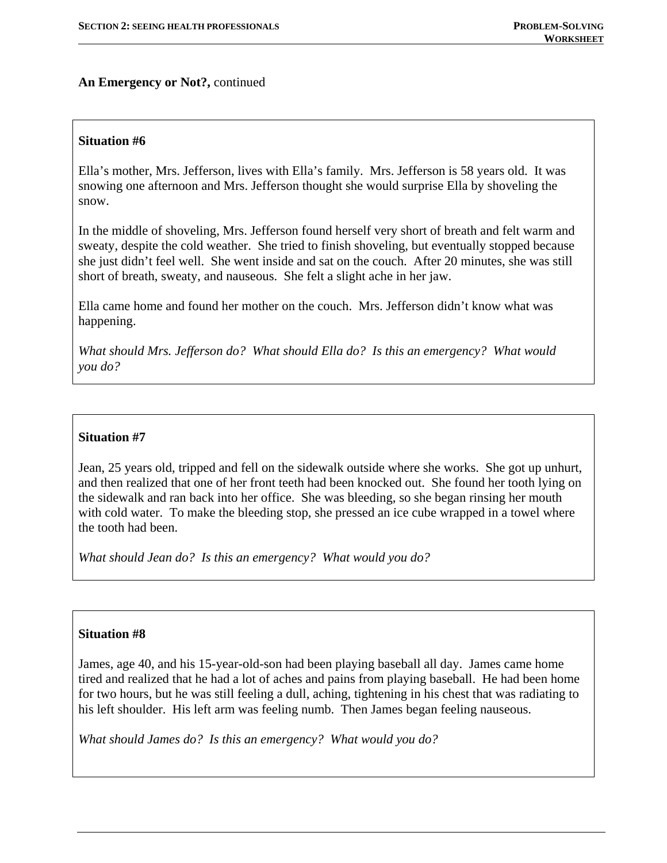# **An Emergency or Not?,** continued

### **Situation #6**

Ella's mother, Mrs. Jefferson, lives with Ella's family. Mrs. Jefferson is 58 years old. It was snowing one afternoon and Mrs. Jefferson thought she would surprise Ella by shoveling the snow.

In the middle of shoveling, Mrs. Jefferson found herself very short of breath and felt warm and sweaty, despite the cold weather. She tried to finish shoveling, but eventually stopped because she just didn't feel well. She went inside and sat on the couch. After 20 minutes, she was still short of breath, sweaty, and nauseous. She felt a slight ache in her jaw.

Ella came home and found her mother on the couch. Mrs. Jefferson didn't know what was happening.

*What should Mrs. Jefferson do? What should Ella do? Is this an emergency? What would you do?* 

## **Situation #7**

Jean, 25 years old, tripped and fell on the sidewalk outside where she works. She got up unhurt, and then realized that one of her front teeth had been knocked out. She found her tooth lying on the sidewalk and ran back into her office. She was bleeding, so she began rinsing her mouth with cold water. To make the bleeding stop, she pressed an ice cube wrapped in a towel where the tooth had been.

*What should Jean do? Is this an emergency? What would you do?* 

#### **Situation #8**

James, age 40, and his 15-year-old-son had been playing baseball all day. James came home tired and realized that he had a lot of aches and pains from playing baseball. He had been home for two hours, but he was still feeling a dull, aching, tightening in his chest that was radiating to his left shoulder. His left arm was feeling numb. Then James began feeling nauseous.

*What should James do? Is this an emergency? What would you do?*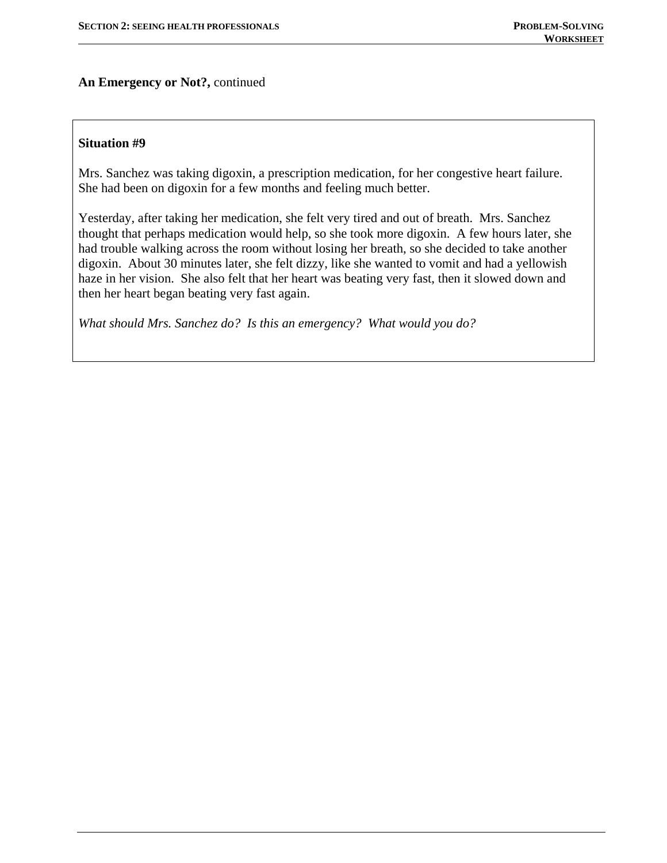**An Emergency or Not?,** continued

### **Situation #9**

Mrs. Sanchez was taking digoxin, a prescription medication, for her congestive heart failure. She had been on digoxin for a few months and feeling much better.

Yesterday, after taking her medication, she felt very tired and out of breath. Mrs. Sanchez thought that perhaps medication would help, so she took more digoxin. A few hours later, she had trouble walking across the room without losing her breath, so she decided to take another digoxin. About 30 minutes later, she felt dizzy, like she wanted to vomit and had a yellowish haze in her vision. She also felt that her heart was beating very fast, then it slowed down and then her heart began beating very fast again.

*What should Mrs. Sanchez do? Is this an emergency? What would you do?*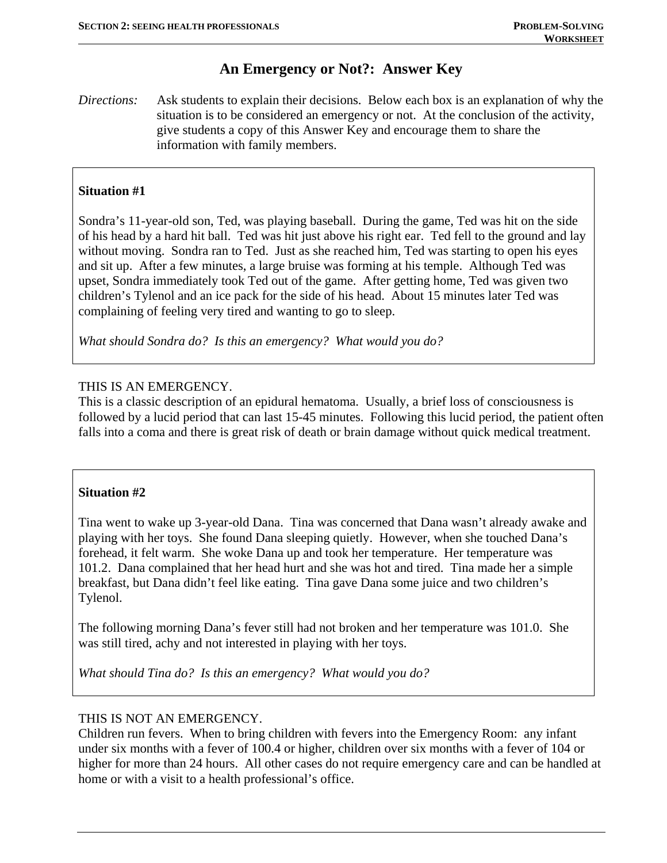# **An Emergency or Not?: Answer Key**

*Directions:* Ask students to explain their decisions. Below each box is an explanation of why the situation is to be considered an emergency or not. At the conclusion of the activity, give students a copy of this Answer Key and encourage them to share the information with family members.

# **Situation #1**

Sondra's 11-year-old son, Ted, was playing baseball. During the game, Ted was hit on the side of his head by a hard hit ball. Ted was hit just above his right ear. Ted fell to the ground and lay without moving. Sondra ran to Ted. Just as she reached him, Ted was starting to open his eyes and sit up. After a few minutes, a large bruise was forming at his temple. Although Ted was upset, Sondra immediately took Ted out of the game. After getting home, Ted was given two children's Tylenol and an ice pack for the side of his head. About 15 minutes later Ted was complaining of feeling very tired and wanting to go to sleep.

*What should Sondra do? Is this an emergency? What would you do?* 

## THIS IS AN EMERGENCY.

This is a classic description of an epidural hematoma. Usually, a brief loss of consciousness is followed by a lucid period that can last 15-45 minutes. Following this lucid period, the patient often falls into a coma and there is great risk of death or brain damage without quick medical treatment.

## **Situation #2**

Tina went to wake up 3-year-old Dana. Tina was concerned that Dana wasn't already awake and playing with her toys. She found Dana sleeping quietly. However, when she touched Dana's forehead, it felt warm. She woke Dana up and took her temperature. Her temperature was 101.2. Dana complained that her head hurt and she was hot and tired. Tina made her a simple breakfast, but Dana didn't feel like eating. Tina gave Dana some juice and two children's Tylenol.

The following morning Dana's fever still had not broken and her temperature was 101.0. She was still tired, achy and not interested in playing with her toys.

*What should Tina do? Is this an emergency? What would you do?* 

## THIS IS NOT AN EMERGENCY.

Children run fevers. When to bring children with fevers into the Emergency Room: any infant under six months with a fever of 100.4 or higher, children over six months with a fever of 104 or higher for more than 24 hours. All other cases do not require emergency care and can be handled at home or with a visit to a health professional's office.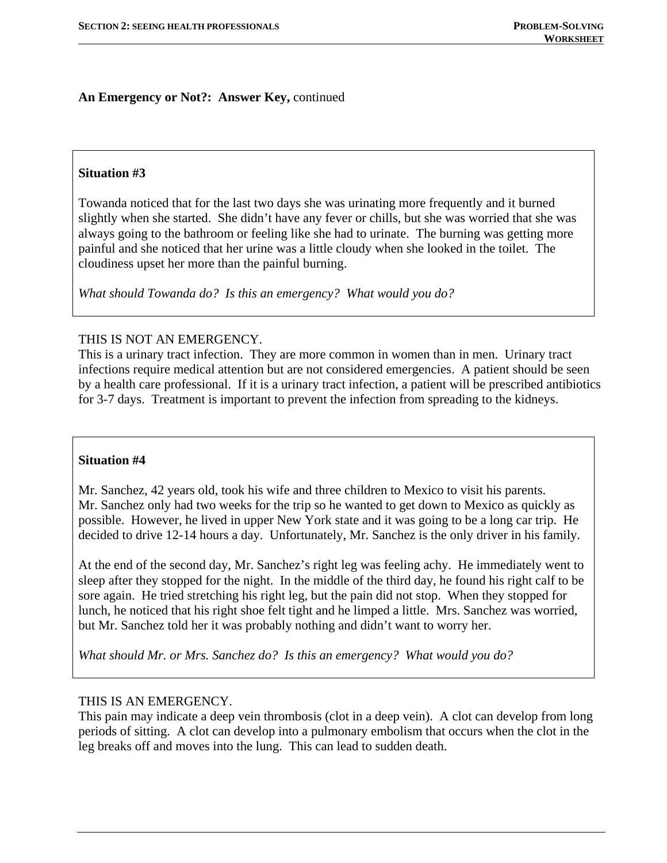## **Situation #3**

Towanda noticed that for the last two days she was urinating more frequently and it burned slightly when she started. She didn't have any fever or chills, but she was worried that she was always going to the bathroom or feeling like she had to urinate. The burning was getting more painful and she noticed that her urine was a little cloudy when she looked in the toilet. The cloudiness upset her more than the painful burning.

*What should Towanda do? Is this an emergency? What would you do?* 

### THIS IS NOT AN EMERGENCY.

This is a urinary tract infection. They are more common in women than in men. Urinary tract infections require medical attention but are not considered emergencies. A patient should be seen by a health care professional. If it is a urinary tract infection, a patient will be prescribed antibiotics for 3-7 days. Treatment is important to prevent the infection from spreading to the kidneys.

#### **Situation #4**

Mr. Sanchez, 42 years old, took his wife and three children to Mexico to visit his parents. Mr. Sanchez only had two weeks for the trip so he wanted to get down to Mexico as quickly as possible. However, he lived in upper New York state and it was going to be a long car trip. He decided to drive 12-14 hours a day. Unfortunately, Mr. Sanchez is the only driver in his family.

At the end of the second day, Mr. Sanchez's right leg was feeling achy. He immediately went to sleep after they stopped for the night. In the middle of the third day, he found his right calf to be sore again. He tried stretching his right leg, but the pain did not stop. When they stopped for lunch, he noticed that his right shoe felt tight and he limped a little. Mrs. Sanchez was worried, but Mr. Sanchez told her it was probably nothing and didn't want to worry her.

*What should Mr. or Mrs. Sanchez do? Is this an emergency? What would you do?* 

## THIS IS AN EMERGENCY.

This pain may indicate a deep vein thrombosis (clot in a deep vein). A clot can develop from long periods of sitting. A clot can develop into a pulmonary embolism that occurs when the clot in the leg breaks off and moves into the lung. This can lead to sudden death.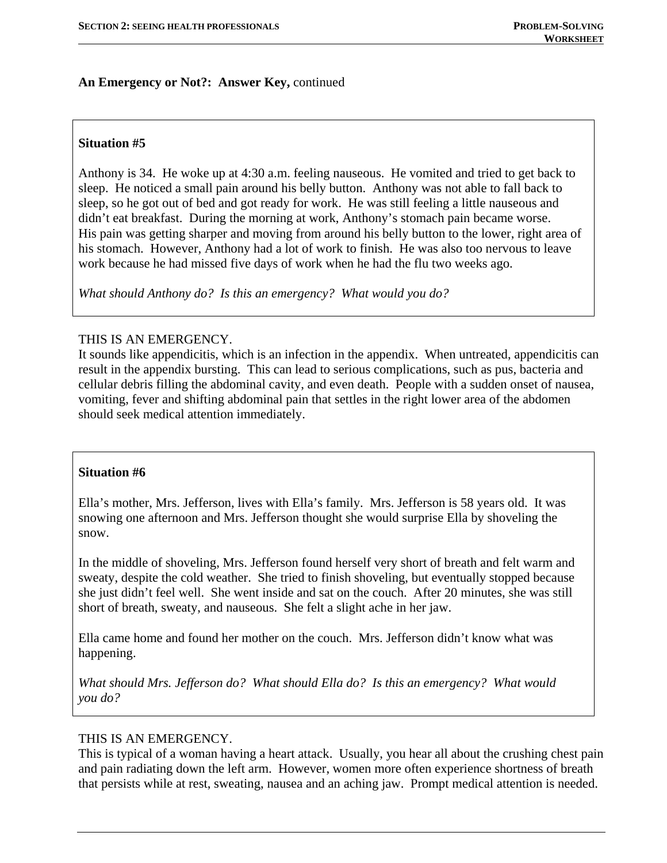### **Situation #5**

Anthony is 34. He woke up at 4:30 a.m. feeling nauseous. He vomited and tried to get back to sleep. He noticed a small pain around his belly button. Anthony was not able to fall back to sleep, so he got out of bed and got ready for work. He was still feeling a little nauseous and didn't eat breakfast. During the morning at work, Anthony's stomach pain became worse. His pain was getting sharper and moving from around his belly button to the lower, right area of his stomach. However, Anthony had a lot of work to finish. He was also too nervous to leave work because he had missed five days of work when he had the flu two weeks ago.

*What should Anthony do? Is this an emergency? What would you do?* 

#### THIS IS AN EMERGENCY.

It sounds like appendicitis, which is an infection in the appendix. When untreated, appendicitis can result in the appendix bursting. This can lead to serious complications, such as pus, bacteria and cellular debris filling the abdominal cavity, and even death. People with a sudden onset of nausea, vomiting, fever and shifting abdominal pain that settles in the right lower area of the abdomen should seek medical attention immediately.

#### **Situation #6**

Ella's mother, Mrs. Jefferson, lives with Ella's family. Mrs. Jefferson is 58 years old. It was snowing one afternoon and Mrs. Jefferson thought she would surprise Ella by shoveling the snow.

In the middle of shoveling, Mrs. Jefferson found herself very short of breath and felt warm and sweaty, despite the cold weather. She tried to finish shoveling, but eventually stopped because she just didn't feel well. She went inside and sat on the couch. After 20 minutes, she was still short of breath, sweaty, and nauseous. She felt a slight ache in her jaw.

Ella came home and found her mother on the couch. Mrs. Jefferson didn't know what was happening.

*What should Mrs. Jefferson do? What should Ella do? Is this an emergency? What would you do?* 

#### THIS IS AN EMERGENCY.

This is typical of a woman having a heart attack. Usually, you hear all about the crushing chest pain and pain radiating down the left arm. However, women more often experience shortness of breath that persists while at rest, sweating, nausea and an aching jaw. Prompt medical attention is needed.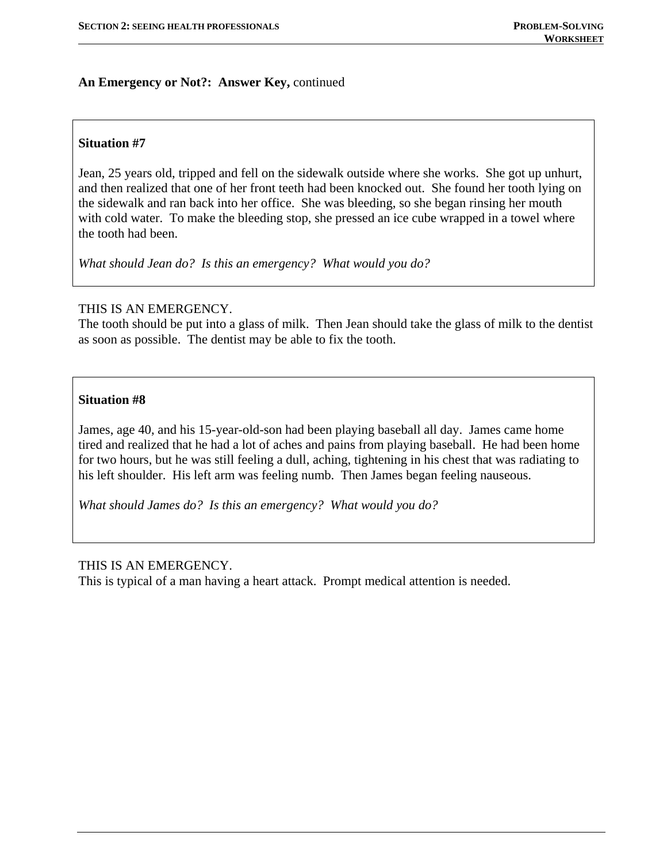## **Situation #7**

Jean, 25 years old, tripped and fell on the sidewalk outside where she works. She got up unhurt, and then realized that one of her front teeth had been knocked out. She found her tooth lying on the sidewalk and ran back into her office. She was bleeding, so she began rinsing her mouth with cold water. To make the bleeding stop, she pressed an ice cube wrapped in a towel where the tooth had been.

*What should Jean do? Is this an emergency? What would you do?* 

## THIS IS AN EMERGENCY.

The tooth should be put into a glass of milk. Then Jean should take the glass of milk to the dentist as soon as possible. The dentist may be able to fix the tooth.

### **Situation #8**

James, age 40, and his 15-year-old-son had been playing baseball all day. James came home tired and realized that he had a lot of aches and pains from playing baseball. He had been home for two hours, but he was still feeling a dull, aching, tightening in his chest that was radiating to his left shoulder. His left arm was feeling numb. Then James began feeling nauseous.

*What should James do? Is this an emergency? What would you do?* 

#### THIS IS AN EMERGENCY.

This is typical of a man having a heart attack. Prompt medical attention is needed.